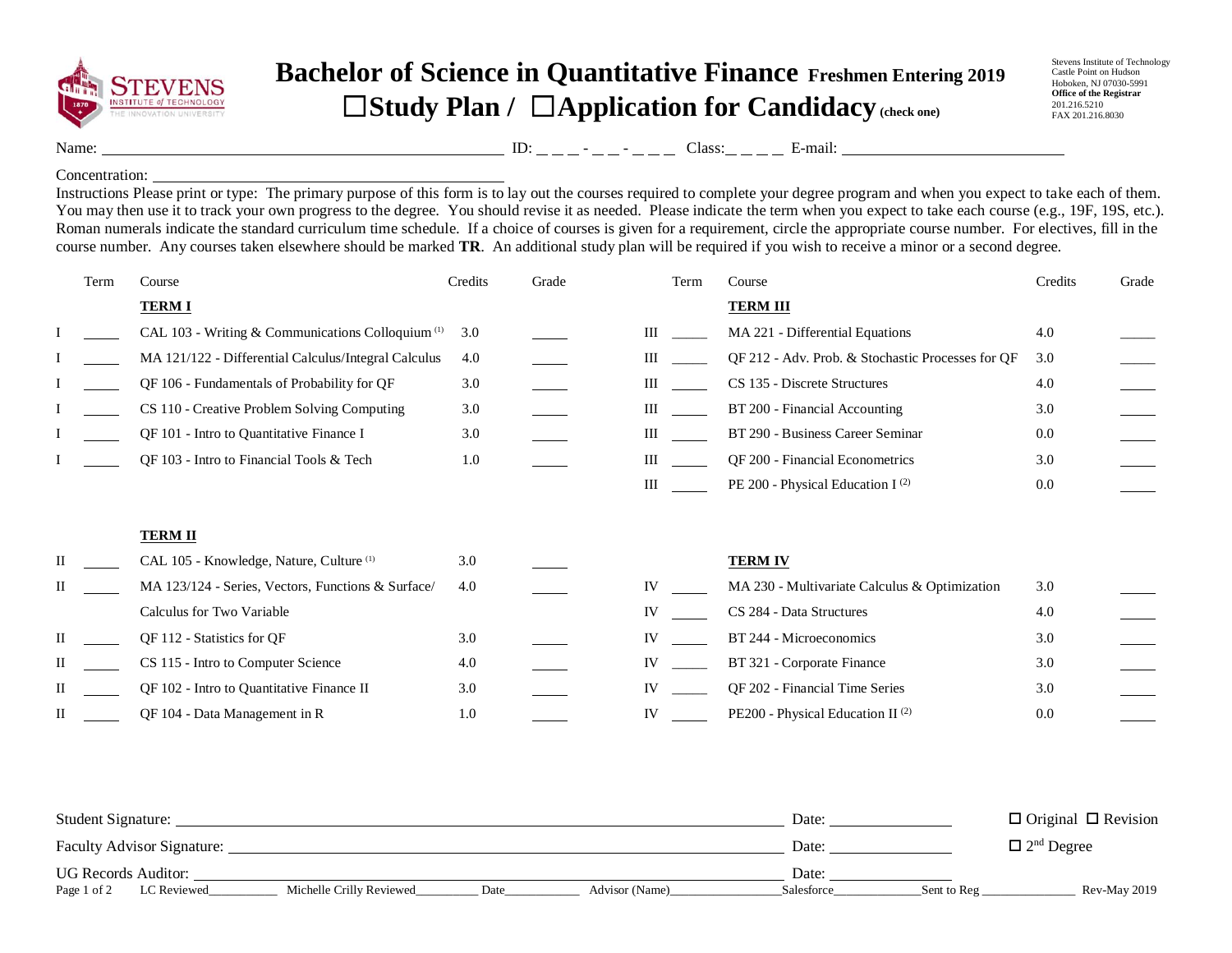

## **Bachelor of Science in Quantitative Finance Freshmen Entering 2019** ☐**Study Plan /** ☐**Application for Candidacy (check one)**

Stevens Institute of Technology Castle Point on Hudson Hoboken, NJ 07030-5991 **Office of the Registrar** 201.216.5210 FAX 201.216.8030

Name: ID: - - Class: E-mail:

## Concentration:

Instructions Please print or type: The primary purpose of this form is to lay out the courses required to complete your degree program and when you expect to take each of them. You may then use it to track your own progress to the degree. You should revise it as needed. Please indicate the term when you expect to take each course (e.g., 19F, 19S, etc.). Roman numerals indicate the standard curriculum time schedule. If a choice of courses is given for a requirement, circle the appropriate course number. For electives, fill in the course number. Any courses taken elsewhere should be marked **TR**. An additional study plan will be required if you wish to receive a minor or a second degree.

| Term | Course                                                       | Credits | Grade | Term | Course                                            | Credits | Grade |
|------|--------------------------------------------------------------|---------|-------|------|---------------------------------------------------|---------|-------|
|      | <b>TERM I</b>                                                |         |       |      | <b>TERM III</b>                                   |         |       |
|      | CAL 103 - Writing & Communications Colloquium <sup>(1)</sup> | 3.0     |       | Ш    | MA 221 - Differential Equations                   | 4.0     |       |
|      | MA 121/122 - Differential Calculus/Integral Calculus         | 4.0     |       | Ш    | QF 212 - Adv. Prob. & Stochastic Processes for QF | 3.0     |       |
|      | QF 106 - Fundamentals of Probability for QF                  | 3.0     |       | Ш    | CS 135 - Discrete Structures                      | 4.0     |       |
|      | CS 110 - Creative Problem Solving Computing                  | 3.0     |       | Ш    | BT 200 - Financial Accounting                     | 3.0     |       |
|      | QF 101 - Intro to Quantitative Finance I                     | 3.0     |       | Ш    | BT 290 - Business Career Seminar                  | 0.0     |       |
|      | QF 103 - Intro to Financial Tools & Tech                     | 1.0     |       | Ш    | QF 200 - Financial Econometrics                   | 3.0     |       |
|      |                                                              |         |       | III  | PE 200 - Physical Education I <sup>(2)</sup>      | 0.0     |       |
|      |                                                              |         |       |      |                                                   |         |       |
|      | <b>TERM II</b>                                               |         |       |      |                                                   |         |       |
| Н    | CAL 105 - Knowledge, Nature, Culture <sup>(1)</sup>          | 3.0     |       |      | <b>TERM IV</b>                                    |         |       |
|      | MA 123/124 - Series, Vectors, Functions & Surface/           | 4.0     |       | IV   | MA 230 - Multivariate Calculus & Optimization     | 3.0     |       |
|      | Calculus for Two Variable                                    |         |       | IV   | CS 284 - Data Structures                          | 4.0     |       |
| П    | QF 112 - Statistics for QF                                   | 3.0     |       | IV   | BT 244 - Microeconomics                           | 3.0     |       |
| Н    | CS 115 - Intro to Computer Science                           | 4.0     |       | IV   | BT 321 - Corporate Finance                        | 3.0     |       |
|      | QF 102 - Intro to Quantitative Finance II                    | 3.0     |       | IV   | QF 202 - Financial Time Series                    | 3.0     |       |
| Н    | QF 104 - Data Management in R                                | 1.0     |       | IV   | PE200 - Physical Education II <sup>(2)</sup>      | 0.0     |       |

| <b>Student Signature:</b>         |                          |      |                | Date:      |             | $\Box$ Original $\Box$ Revision |
|-----------------------------------|--------------------------|------|----------------|------------|-------------|---------------------------------|
| <b>Faculty Advisor Signature:</b> |                          |      |                | Date:      |             | $\Box$ 2 <sup>nd</sup> Degree   |
| <b>UG Records Auditor:</b>        |                          |      |                | Date:      |             |                                 |
| Page 1 of 2<br>LC Reviewed        | Michelle Crilly Reviewed | Date | Advisor (Name) | Salesforce | Sent to Reg | Rev-May 2019                    |